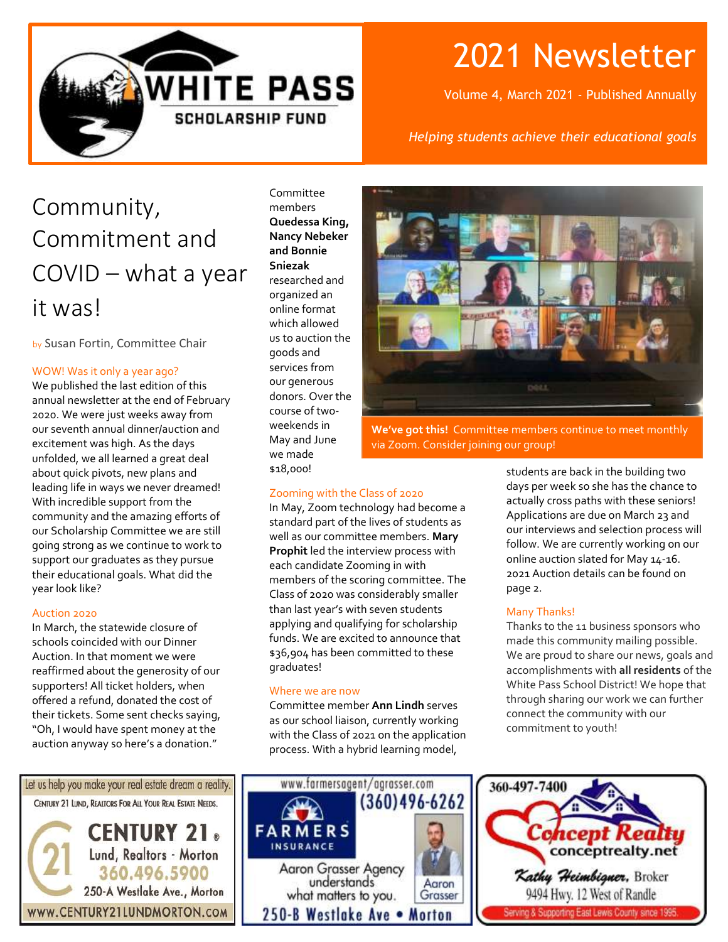

# 2021 Newsletter

Volume 4, March 2021 - Published Annually

### *Helping students achieve their educational goals*

## Community, Commitment and COVID – what a year it was!

by Susan Fortin, Committee Chair

### WOW! Was it only a year ago?

We published the last edition of this annual newsletter at the end of February 2020. We were just weeks away from our seventh annual dinner/auction and excitement was high. As the days unfolded, we all learned a great deal about quick pivots, new plans and leading life in ways we never dreamed! With incredible support from the community and the amazing efforts of our Scholarship Committee we are still going strong as we continue to work to support our graduates as they pursue their educational goals. What did the year look like?

#### Auction 2020

In March, the statewide closure of schools coincided with our Dinner Auction. In that moment we were reaffirmed about the generosity of our supporters! All ticket holders, when offered a refund, donated the cost of their tickets. Some sent checks saying, "Oh, I would have spent money at the auction anyway so here's a donation."

Committee members **Quedessa King, Nancy Nebeker and Bonnie Sniezak** researched and organized an online format which allowed us to auction the goods and services from our generous donors. Over the course of twoweekends in May and June we made \$18,000!



**We've got this!** Committee members continue to meet monthly via Zoom. Consider joining our group!

#### Zooming with the Class of 2020

In May, Zoom technology had become a standard part of the lives of students as well as our committee members. **Mary Prophit** led the interview process with each candidate Zooming in with members of the scoring committee. The Class of 2020 was considerably smaller than last year's with seven students applying and qualifying for scholarship funds. We are excited to announce that \$36,904 has been committed to these graduates!

#### Where we are now

Committee member **Ann Lindh** serves as our school liaison, currently working with the Class of 2021 on the application process. With a hybrid learning model,

students are back in the building two days per week so she has the chance to actually cross paths with these seniors! Applications are due on March 23 and our interviews and selection process will follow. We are currently working on our online auction slated for May 14-16. 2021 Auction details can be found on page 2.

#### Many Thanks!

Thanks to the 11 business sponsors who made this community mailing possible. We are proud to share our news, goals and accomplishments with **all residents** of the White Pass School District! We hope that through sharing our work we can further connect the community with our commitment to youth!





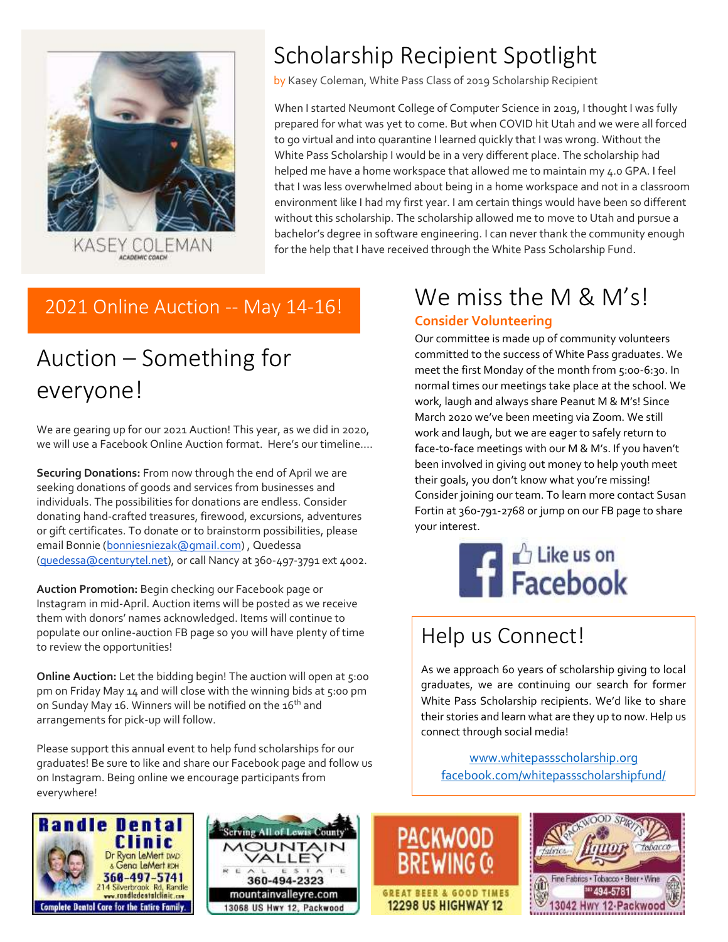

## Scholarship Recipient Spotlight

by Kasey Coleman, White Pass Class of 2019 Scholarship Recipient

When I started Neumont College of Computer Science in 2019, I thought I was fully prepared for what was yet to come. But when COVID hit Utah and we were all forced to go virtual and into quarantine I learned quickly that I was wrong. Without the White Pass Scholarship I would be in a very different place. The scholarship had helped me have a home workspace that allowed me to maintain my 4.0 GPA. I feel that I was less overwhelmed about being in a home workspace and not in a classroom environment like I had my first year. I am certain things would have been so different without this scholarship. The scholarship allowed me to move to Utah and pursue a bachelor's degree in software engineering. I can never thank the community enough for the help that I have received through the White Pass Scholarship Fund.

### 2021 Online Auction -- May 14-16!

## Auction – Something for everyone!

We are gearing up for our 2021 Auction! This year, as we did in 2020, we will use a Facebook Online Auction format. Here's our timeline….

**Securing Donations:** From now through the end of April we are seeking donations of goods and services from businesses and individuals. The possibilities for donations are endless. Consider donating hand-crafted treasures, firewood, excursions, adventures or gift certificates. To donate or to brainstorm possibilities, please email Bonnie [\(bonniesniezak@gmail.com\)](mailto:bonniesniezak@gmail.com), Quedessa [\(quedessa@centurytel.net\)](mailto:quedessa@centurytel.net), or call Nancy at 360-497-3791 ext 4002.

**Auction Promotion:** Begin checking our Facebook page or Instagram in mid-April. Auction items will be posted as we receive them with donors' names acknowledged. Items will continue to populate our online-auction FB page so you will have plenty of time to review the opportunities!

**Online Auction:** Let the bidding begin! The auction will open at 5:00 pm on Friday May 14 and will close with the winning bids at 5:00 pm on Sunday May 16. Winners will be notified on the 16<sup>th</sup> and arrangements for pick-up will follow.

Please support this annual event to help fund scholarships for our graduates! Be sure to like and share our Facebook page and follow us on Instagram. Being online we encourage participants from everywhere!

## We miss the M & M's!

### **Consider Volunteering**

Our committee is made up of community volunteers committed to the success of White Pass graduates. We meet the first Monday of the month from 5:00-6:30. In normal times our meetings take place at the school. We work, laugh and always share Peanut M & M's! Since March 2020 we've been meeting via Zoom. We still work and laugh, but we are eager to safely return to face-to-face meetings with our M & M's. If you haven't been involved in giving out money to help youth meet their goals, you don't know what you're missing! Consider joining our team. To learn more contact Susan Fortin at 360-791-2768 or jump on our FB page to share your interest.



## Help us Connect!

**PACKWOOD** 

As we approach 60 years of scholarship giving to local graduates, we are continuing our search for former White Pass Scholarship recipients. We'd like to share their stories and learn what are they up to now. Help us connect through social media!

[www.whitepassscholarship.org](http://www.whitepassscholarship.org/) [facebook.com/whitepassscholarshipfund/](http://www.facebook.com/whitepassscholarshipfund/)





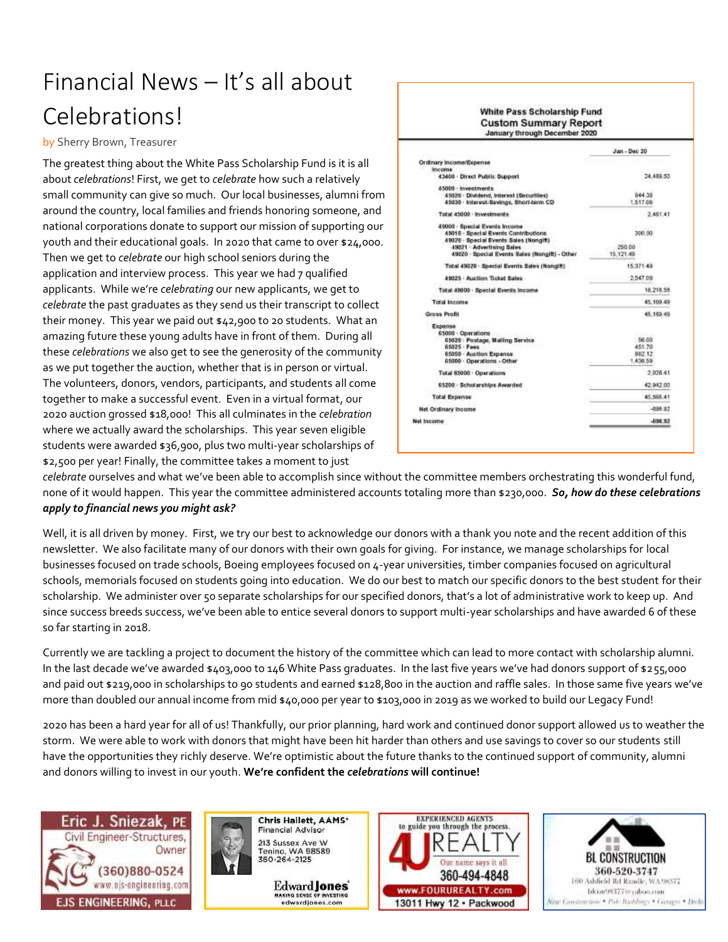## Financial News – It's all about Celebrations!

by Sherry Brown, Treasurer

The greatest thing about the White Pass Scholarship Fund is it is all about *celebrations*! First, we get to *celebrate* how such a relatively small community can give so much. Our local businesses, alumni from around the country, local families and friends honoring someone, and national corporations donate to support our mission of supporting our youth and their educational goals. In 2020 that came to over \$24,000. Then we get to *celebrate* our high school seniors during the application and interview process. This year we had 7 qualified applicants. While we're *celebrating* our new applicants, we get to *celebrate* the past graduates as they send us their transcript to collect their money. This year we paid out \$42,900 to 20 students. What an amazing future these young adults have in front of them. During all these *celebrations* we also get to see the generosity of the community as we put together the auction, whether that is in person or virtual. The volunteers, donors, vendors, participants, and students all come together to make a successful event. Even in a virtual format, our 2020 auction grossed \$18,000! This all culminates in the *celebration* where we actually award the scholarships. This year seven eligible students were awarded \$36,900, plus two multi-year scholarships of \$2,500 per year! Finally, the committee takes a moment to just

|                                                                                                                                                                                              | Jan - Dec 20                          |
|----------------------------------------------------------------------------------------------------------------------------------------------------------------------------------------------|---------------------------------------|
| Ordinary Income/Expense<br><b>Income</b><br>43400 - Direct Public Support                                                                                                                    | 24,489.50                             |
| 45000 - Investments<br>45020 · Dividend, Interest (Securities)<br>45830 · Interest-Savings, Short-term CD                                                                                    | 944.35<br>1,517.06                    |
| Total 45000 - Investments                                                                                                                                                                    | 2,461.41                              |
| 45000 · Special Events Income<br>49010 - Special Events Contributions<br>49020 - Special Events Sales (Nongift)<br>49021 Advertising Sales<br>49020 · Special Events Sales (Nongift) - Other | 300.00<br>250.00<br>15.121.49         |
| Total 49020 - Special Events Sales (Nongift)                                                                                                                                                 | 15.371.49                             |
| 49025 - Auction Ticket Sales                                                                                                                                                                 | 2.547.09                              |
| Total 49000 - Special Events Income                                                                                                                                                          | 18.215.58                             |
| Total Income                                                                                                                                                                                 | 45.169.49                             |
| Gross Profit                                                                                                                                                                                 | 45,169.49                             |
| Expense<br>65000 - Operations<br>65020 - Postage, Mailing Service<br>65025 · Fees<br>65050 - Auction Expense<br>65000 - Operations - Other                                                   | 56.00<br>451.70<br>982.12<br>1.436.59 |
| Total 65000 Operations                                                                                                                                                                       | 2:926.41                              |
| 65200 - Scholarships Awarded                                                                                                                                                                 | 42,942.00                             |
| <b>Total Expense</b>                                                                                                                                                                         | 45.568.41                             |
| <b>Net Ordinary Income</b>                                                                                                                                                                   | $-89892$                              |
| Net Income                                                                                                                                                                                   | -698.92                               |

**White Deep Coholorable Fund** 

*celebrate* ourselves and what we've been able to accomplish since without the committee members orchestrating this wonderful fund, none of it would happen. This year the committee administered accounts totaling more than \$230,000. *So, how do these celebrations apply to financial news you might ask?*

Well, it is all driven by money. First, we try our best to acknowledge our donors with a thank you note and the recent addition of this newsletter. We also facilitate many of our donors with their own goals for giving. For instance, we manage scholarships for local businesses focused on trade schools, Boeing employees focused on 4-year universities, timber companies focused on agricultural schools, memorials focused on students going into education. We do our best to match our specific donors to the best student for their scholarship. We administer over 50 separate scholarships for our specified donors, that's a lot of administrative work to keep up. And since success breeds success, we've been able to entice several donors to support multi-year scholarships and have awarded 6 of these so far starting in 2018.

Currently we are tackling a project to document the history of the committee which can lead to more contact with scholarship alumni. In the last decade we've awarded \$403,000 to 146 White Pass graduates. In the last five years we've had donors support of \$255,000 and paid out \$219,000 in scholarships to 90 students and earned \$128,800 in the auction and raffle sales. In those same five years we've more than doubled our annual income from mid \$40,000 per year to \$103,000 in 2019 as we worked to build our Legacy Fund!

2020 has been a hard year for all of us! Thankfully, our prior planning, hard work and continued donor support allowed us to weather the storm. We were able to work with donors that might have been hit harder than others and use savings to cover so our students still have the opportunities they richly deserve. We're optimistic about the future thanks to the continued support of community, alumni and donors willing to invest in our youth. **We're confident the** *celebrations* **will continue!**





Edward **Jones** AKING SENSE OF INVESTIN edwardjones.com